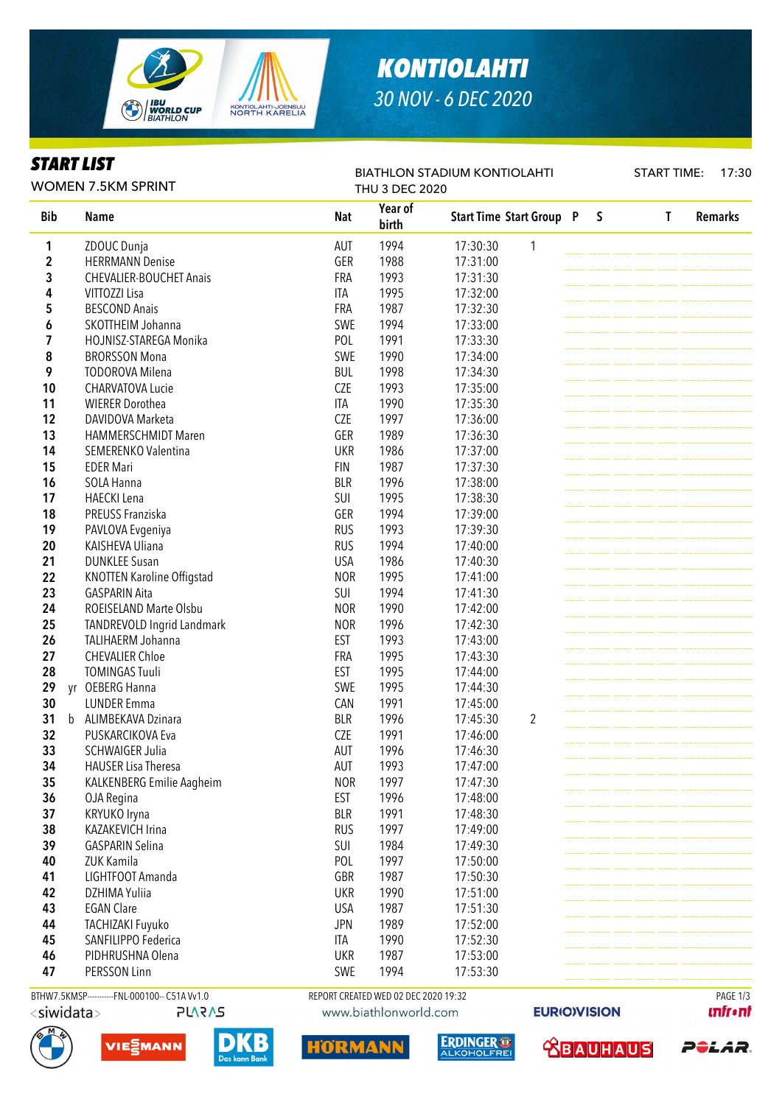

# *KONTIOLAHTI 30 NOV - 6 DEC 2020*

### *START LIST*

BIATHLON STADIUM KONTIOLAHTI

START TIME: 17:30

| <b>WOMEN 7.5KM SPRINT</b> |             |                                   |            | THU 3 DEC 2020   |                                 |   |              |                |
|---------------------------|-------------|-----------------------------------|------------|------------------|---------------------------------|---|--------------|----------------|
| <b>Bib</b>                |             | <b>Name</b>                       | <b>Nat</b> | Year of<br>birth | <b>Start Time Start Group P</b> | S | $\mathbf{I}$ | <b>Remarks</b> |
| 1                         |             | ZDOUC Dunja                       | AUT        | 1994             | 1<br>17:30:30                   |   |              |                |
| $\overline{\mathbf{c}}$   |             | <b>HERRMANN Denise</b>            | GER        | 1988             | 17:31:00                        |   |              |                |
| 3                         |             | <b>CHEVALIER-BOUCHET Anais</b>    | FRA        | 1993             | 17:31:30                        |   |              |                |
| 4                         |             | VITTOZZI Lisa                     | ITA        | 1995             | 17:32:00                        |   |              |                |
| 5                         |             | <b>BESCOND Anais</b>              | FRA        | 1987             | 17:32:30                        |   |              |                |
| 6                         |             | SKOTTHEIM Johanna                 | SWE        | 1994             | 17:33:00                        |   |              |                |
| 7                         |             | HOJNISZ-STAREGA Monika            | POL        | 1991             | 17:33:30                        |   |              |                |
| 8                         |             | <b>BRORSSON Mona</b>              | SWE        | 1990             | 17:34:00                        |   |              |                |
| 9                         |             | <b>TODOROVA Milena</b>            | <b>BUL</b> | 1998             | 17:34:30                        |   |              |                |
| 10                        |             | CHARVATOVA Lucie                  | <b>CZE</b> | 1993             | 17:35:00                        |   |              |                |
| 11                        |             | <b>WIERER Dorothea</b>            | <b>ITA</b> | 1990             | 17:35:30                        |   |              |                |
| 12                        |             | DAVIDOVA Marketa                  | <b>CZE</b> | 1997             | 17:36:00                        |   |              |                |
| 13                        |             | HAMMERSCHMIDT Maren               | GER        | 1989             | 17:36:30                        |   |              |                |
| 14                        |             | SEMERENKO Valentina               | <b>UKR</b> | 1986             | 17:37:00                        |   |              |                |
| 15                        |             | <b>EDER Mari</b>                  | <b>FIN</b> | 1987             | 17:37:30                        |   |              |                |
| 16                        |             | SOLA Hanna                        | <b>BLR</b> | 1996             | 17:38:00                        |   |              |                |
| 17                        |             | <b>HAECKI</b> Lena                | SUI        | 1995             | 17:38:30                        |   |              |                |
| 18                        |             | PREUSS Franziska                  | GER        | 1994             | 17:39:00                        |   |              |                |
| 19                        |             | PAVLOVA Evgeniya                  | <b>RUS</b> | 1993             | 17:39:30                        |   |              |                |
| 20                        |             | KAISHEVA Uliana                   | <b>RUS</b> | 1994             | 17:40:00                        |   |              |                |
|                           |             |                                   |            |                  |                                 |   |              |                |
| 21                        |             | <b>DUNKLEE Susan</b>              | <b>USA</b> | 1986             | 17:40:30                        |   |              |                |
| 22                        |             | <b>KNOTTEN Karoline Offigstad</b> | <b>NOR</b> | 1995             | 17:41:00                        |   |              |                |
| 23                        |             | <b>GASPARIN Aita</b>              | SUI        | 1994             | 17:41:30                        |   |              |                |
| 24                        |             | ROEISELAND Marte Olsbu            | <b>NOR</b> | 1990             | 17:42:00                        |   |              |                |
| 25                        |             | TANDREVOLD Ingrid Landmark        | <b>NOR</b> | 1996             | 17:42:30                        |   |              |                |
| 26                        |             | TALIHAERM Johanna                 | <b>EST</b> | 1993             | 17:43:00                        |   |              |                |
| 27                        |             | <b>CHEVALIER Chloe</b>            | FRA        | 1995             | 17:43:30                        |   |              |                |
| 28                        |             | <b>TOMINGAS Tuuli</b>             | <b>EST</b> | 1995             | 17:44:00                        |   |              |                |
| 29                        |             | yr OEBERG Hanna                   | SWE        | 1995             | 17:44:30                        |   |              |                |
| 30                        |             | <b>LUNDER Emma</b>                | CAN        | 1991             | 17:45:00                        |   |              |                |
| 31                        | $\mathbf b$ | ALIMBEKAVA Dzinara                | <b>BLR</b> | 1996             | 17:45:30<br>2                   |   |              |                |
| 32                        |             | PUSKARCIKOVA Eva                  | <b>CZE</b> | 1991             | 17:46:00                        |   |              |                |
| 33                        |             | <b>SCHWAIGER Julia</b>            | <b>AUT</b> | 1996             | 17:46:30                        |   |              |                |
| 34                        |             | <b>HAUSER Lisa Theresa</b>        | AUT        | 1993             | 17:47:00                        |   |              |                |
| 35                        |             | KALKENBERG Emilie Aagheim         | <b>NOR</b> | 1997             | 17:47:30                        |   |              |                |
| 36                        |             | OJA Regina                        | <b>EST</b> | 1996             | 17:48:00                        |   |              |                |
| 37                        |             | KRYUKO Iryna                      | <b>BLR</b> | 1991             | 17:48:30                        |   |              |                |
| 38                        |             | KAZAKEVICH Irina                  | <b>RUS</b> | 1997             | 17:49:00                        |   |              |                |
| 39                        |             | <b>GASPARIN Selina</b>            | SUI        | 1984             | 17:49:30                        |   |              |                |
| 40                        |             | ZUK Kamila                        | POL        | 1997             | 17:50:00                        |   |              |                |
| 41                        |             | LIGHTFOOT Amanda                  | GBR        | 1987             | 17:50:30                        |   |              |                |
| 42                        |             | DZHIMA Yuliia                     | <b>UKR</b> | 1990             | 17:51:00                        |   |              |                |
| 43                        |             | <b>EGAN Clare</b>                 | <b>USA</b> | 1987             | 17:51:30                        |   |              |                |
| 44                        |             | TACHIZAKI Fuyuko                  | <b>JPN</b> | 1989             | 17:52:00                        |   |              |                |
| 45                        |             | SANFILIPPO Federica               | ITA        | 1990             | 17:52:30                        |   |              |                |
| 46                        |             | PIDHRUSHNA Olena                  | <b>UKR</b> | 1987             | 17:53:00                        |   |              |                |
| 47                        |             | PERSSON Linn                      | SWE        | 1994             | 17:53:30                        |   |              |                |
|                           |             |                                   |            |                  |                                 |   |              |                |

BTHW7.5KMSP----------FNL-000100-- C51A Vv1.0 REPORT CREATED WED 02 DEC 2020 19:32 PAGE 1/3







HORMA



**EURIOVISION** 



POLAR.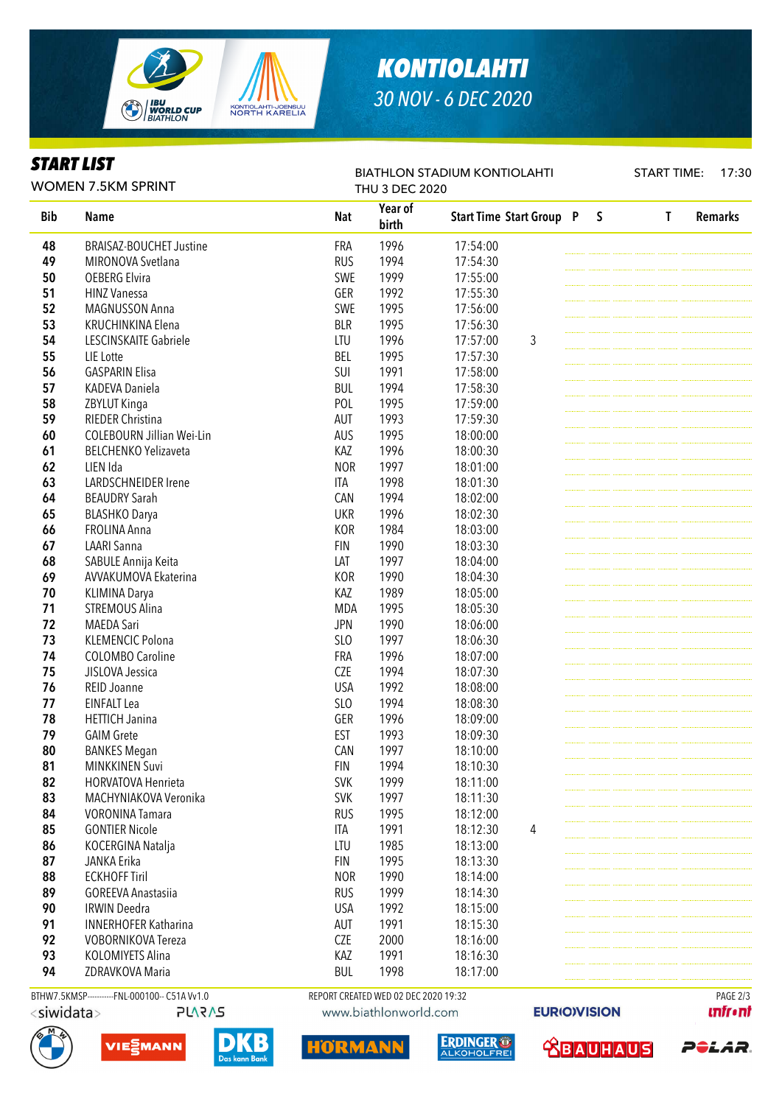

# *KONTIOLAHTI 30 NOV - 6 DEC 2020*

#### *START LIST*

BIATHLON STADIUM KONTIOLAHTI

START TIME: 17:30

|            | <b>WOMEN 7.5KM SPRINT</b>                     |            | <b>THU 3 DEC 2020</b>                |                                 |   |              |              |                |
|------------|-----------------------------------------------|------------|--------------------------------------|---------------------------------|---|--------------|--------------|----------------|
| <b>Bib</b> | <b>Name</b>                                   | <b>Nat</b> | Year of<br>birth                     | <b>Start Time Start Group P</b> |   | $\mathsf{S}$ | $\mathsf{T}$ | <b>Remarks</b> |
| 48         | <b>BRAISAZ-BOUCHET Justine</b>                | FRA        | 1996                                 | 17:54:00                        |   |              |              |                |
| 49         | MIRONOVA Svetlana                             | <b>RUS</b> | 1994                                 | 17:54:30                        |   |              |              |                |
| 50         | <b>OEBERG Elvira</b>                          | SWE        | 1999                                 | 17:55:00                        |   |              |              |                |
| 51         | <b>HINZ Vanessa</b>                           | GER        | 1992                                 | 17:55:30                        |   |              |              |                |
| 52         | MAGNUSSON Anna                                | SWE        | 1995                                 | 17:56:00                        |   |              |              |                |
| 53         | <b>KRUCHINKINA Elena</b>                      | <b>BLR</b> | 1995                                 | 17:56:30                        |   |              |              |                |
| 54         | LESCINSKAITE Gabriele                         | LTU        | 1996                                 | 17:57:00                        | 3 |              |              |                |
| 55         | LIE Lotte                                     | BEL        | 1995                                 | 17:57:30                        |   |              |              |                |
| 56         | <b>GASPARIN Elisa</b>                         | SUI        | 1991                                 | 17:58:00                        |   |              |              |                |
| 57         | KADEVA Daniela                                | <b>BUL</b> | 1994                                 | 17:58:30                        |   |              |              |                |
| 58         | ZBYLUT Kinga                                  | POL        | 1995                                 | 17:59:00                        |   |              |              |                |
| 59         | RIEDER Christina                              | AUT        | 1993                                 | 17:59:30                        |   |              |              |                |
| 60         | <b>COLEBOURN Jillian Wei-Lin</b>              | AUS        | 1995                                 | 18:00:00                        |   |              |              |                |
| 61         | <b>BELCHENKO Yelizaveta</b>                   | KAZ        | 1996                                 | 18:00:30                        |   |              |              |                |
| 62         | LIEN Ida                                      | <b>NOR</b> | 1997                                 | 18:01:00                        |   |              |              |                |
| 63         | LARDSCHNEIDER Irene                           | ITA        | 1998                                 | 18:01:30                        |   |              |              |                |
| 64         | <b>BEAUDRY Sarah</b>                          | CAN        | 1994                                 | 18:02:00                        |   |              |              |                |
| 65         | <b>BLASHKO Darya</b>                          | <b>UKR</b> | 1996                                 | 18:02:30                        |   |              |              |                |
| 66         | FROLINA Anna                                  | <b>KOR</b> | 1984                                 | 18:03:00                        |   |              |              |                |
| 67         | LAARI Sanna                                   | <b>FIN</b> | 1990                                 | 18:03:30                        |   |              |              |                |
| 68         | SABULE Annija Keita                           | LAT        | 1997                                 | 18:04:00                        |   |              |              |                |
| 69         | AVVAKUMOVA Ekaterina                          | <b>KOR</b> | 1990                                 | 18:04:30                        |   |              |              |                |
| 70         |                                               | KAZ        | 1989                                 |                                 |   |              |              |                |
|            | <b>KLIMINA Darya</b>                          |            |                                      | 18:05:00                        |   |              |              |                |
| 71         | <b>STREMOUS Alina</b>                         | MDA        | 1995                                 | 18:05:30                        |   |              |              |                |
| 72         | <b>MAEDA Sari</b>                             | <b>JPN</b> | 1990                                 | 18:06:00                        |   |              |              |                |
| 73         | <b>KLEMENCIC Polona</b>                       | SLO        | 1997                                 | 18:06:30                        |   |              |              |                |
| 74         | <b>COLOMBO Caroline</b>                       | FRA        | 1996                                 | 18:07:00                        |   |              |              |                |
| 75         | JISLOVA Jessica                               | <b>CZE</b> | 1994                                 | 18:07:30                        |   |              |              |                |
| 76         | REID Joanne                                   | <b>USA</b> | 1992                                 | 18:08:00                        |   |              |              |                |
| 77         | <b>EINFALT Lea</b>                            | SLO        | 1994                                 | 18:08:30                        |   |              |              |                |
| 78         | <b>HETTICH Janina</b>                         | GER        | 1996                                 | 18:09:00                        |   |              |              |                |
| 79         | <b>GAIM Grete</b>                             | EST        | 1993                                 | 18:09:30                        |   |              |              |                |
| 80         | <b>BANKES Megan</b>                           | CAN        | 1997                                 | 18:10:00                        |   |              |              |                |
| 81         | <b>MINKKINEN Suvi</b>                         | <b>FIN</b> | 1994                                 | 18:10:30                        |   |              |              |                |
| 82         | <b>HORVATOVA Henrieta</b>                     | <b>SVK</b> | 1999                                 | 18:11:00                        |   |              |              |                |
| 83         | MACHYNIAKOVA Veronika                         | <b>SVK</b> | 1997                                 | 18:11:30                        |   |              |              |                |
| 84         | <b>VORONINA Tamara</b>                        | <b>RUS</b> | 1995                                 | 18:12:00                        |   |              |              |                |
| 85         | <b>GONTIER Nicole</b>                         | ITA        | 1991                                 | 18:12:30                        | 4 |              |              |                |
| 86         | KOCERGINA Natalja                             | LTU        | 1985                                 | 18:13:00                        |   |              |              |                |
| 87         | JANKA Erika                                   | <b>FIN</b> | 1995                                 | 18:13:30                        |   |              |              |                |
| 88         | <b>ECKHOFF Tiril</b>                          | <b>NOR</b> | 1990                                 | 18:14:00                        |   |              |              |                |
| 89         | <b>GOREEVA Anastasiia</b>                     | <b>RUS</b> | 1999                                 | 18:14:30                        |   |              |              |                |
| 90         | <b>IRWIN Deedra</b>                           | <b>USA</b> | 1992                                 | 18:15:00                        |   |              |              |                |
| 91         | <b>INNERHOFER Katharina</b>                   | AUT        | 1991                                 | 18:15:30                        |   |              |              |                |
| 92         | VOBORNIKOVA Tereza                            | <b>CZE</b> | 2000                                 | 18:16:00                        |   |              |              |                |
| 93         | KOLOMIYETS Alina                              | KAZ        | 1991                                 | 18:16:30                        |   |              |              |                |
| 94         | ZDRAVKOVA Maria                               | <b>BUL</b> | 1998                                 | 18:17:00                        |   |              |              |                |
|            |                                               |            |                                      |                                 |   |              |              |                |
|            | BTHW7.5KMSP-----------FNL-000100-- C51A Vv1.0 |            | REPORT CREATED WED 02 DEC 2020 19:32 |                                 |   |              |              | PAGE 2/3       |









HÖRMA



**EURIOVISION** 



POLAR.